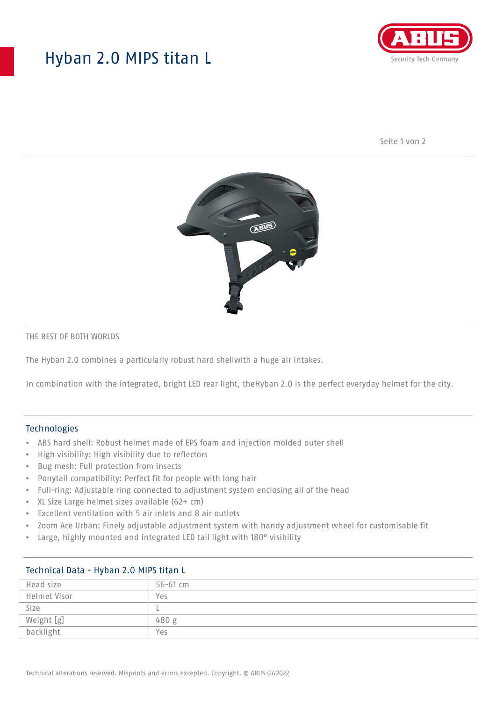## Hyban 2.0 MIPS titan L



Seite 1 von 2



#### THE BEST OF BOTH WORLDS

The Hyban 2.0 combines a particularly robust hard shellwith a huge air intakes.

In combination with the integrated, bright LED rear light, theHyban 2.0 is the perfect everyday helmet for the city.

#### Technologies

- ABS hard shell: Robust helmet made of EPS foam and injection molded outer shell
- High visibility: High visibility due to reflectors
- Bug mesh: Full protection from insects
- Ponytail compatibility: Perfect fit for people with long hair
- Full-ring: Adjustable ring connected to adjustment system enclosing all of the head
- XL Size Large helmet sizes available (62+ cm)
- Excellent ventilation with 5 air inlets and 8 air outlets
- Zoom Ace Urban: Finely adjustable adjustment system with handy adjustment wheel for customisable fit
- Large, highly mounted and integrated LED tail light with 180° visibility

| $\frac{1}{2}$ |              |
|---------------|--------------|
| Head size     | $56 - 61$ cm |
| Helmet Visor  | Yes          |
| Size          |              |
| Weight [g]    | 480 g        |
| backlight     | Yes          |

## Technical Data - Hyban 2.0 MIPS titan L